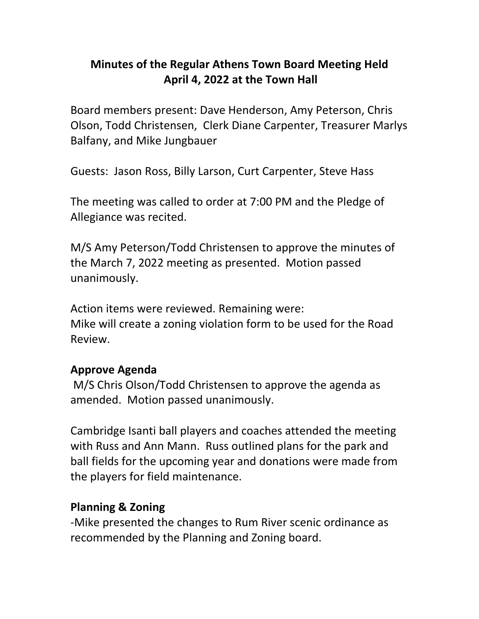## **Minutes of the Regular Athens Town Board Meeting Held April 4, 2022 at the Town Hall**

Board members present: Dave Henderson, Amy Peterson, Chris Olson, Todd Christensen, Clerk Diane Carpenter, Treasurer Marlys Balfany, and Mike Jungbauer

Guests: Jason Ross, Billy Larson, Curt Carpenter, Steve Hass

The meeting was called to order at 7:00 PM and the Pledge of Allegiance was recited.

M/S Amy Peterson/Todd Christensen to approve the minutes of the March 7, 2022 meeting as presented. Motion passed unanimously.

Action items were reviewed. Remaining were: Mike will create a zoning violation form to be used for the Road Review.

#### **Approve Agenda**

M/S Chris Olson/Todd Christensen to approve the agenda as amended. Motion passed unanimously.

Cambridge Isanti ball players and coaches attended the meeting with Russ and Ann Mann. Russ outlined plans for the park and ball fields for the upcoming year and donations were made from the players for field maintenance.

#### **Planning & Zoning**

-Mike presented the changes to Rum River scenic ordinance as recommended by the Planning and Zoning board.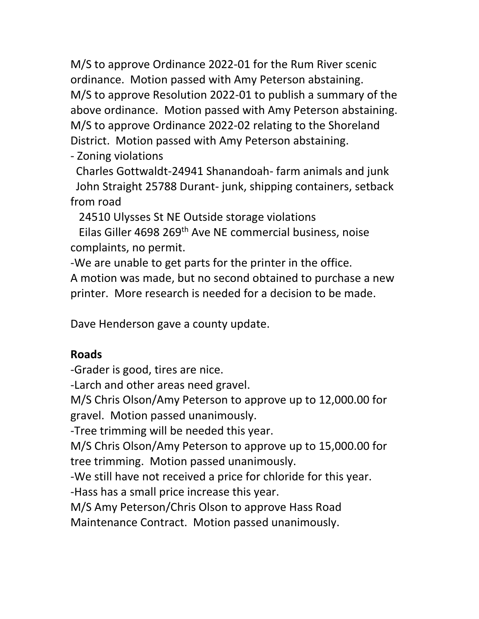M/S to approve Ordinance 2022-01 for the Rum River scenic ordinance. Motion passed with Amy Peterson abstaining. M/S to approve Resolution 2022-01 to publish a summary of the above ordinance. Motion passed with Amy Peterson abstaining. M/S to approve Ordinance 2022-02 relating to the Shoreland District. Motion passed with Amy Peterson abstaining.

- Zoning violations

 Charles Gottwaldt-24941 Shanandoah- farm animals and junk John Straight 25788 Durant- junk, shipping containers, setback from road

24510 Ulysses St NE Outside storage violations

 Eilas Giller 4698 269th Ave NE commercial business, noise complaints, no permit.

-We are unable to get parts for the printer in the office.

A motion was made, but no second obtained to purchase a new printer. More research is needed for a decision to be made.

Dave Henderson gave a county update.

## **Roads**

-Grader is good, tires are nice.

-Larch and other areas need gravel.

M/S Chris Olson/Amy Peterson to approve up to 12,000.00 for

gravel. Motion passed unanimously.

-Tree trimming will be needed this year.

M/S Chris Olson/Amy Peterson to approve up to 15,000.00 for tree trimming. Motion passed unanimously.

-We still have not received a price for chloride for this year.

-Hass has a small price increase this year.

M/S Amy Peterson/Chris Olson to approve Hass Road

Maintenance Contract. Motion passed unanimously.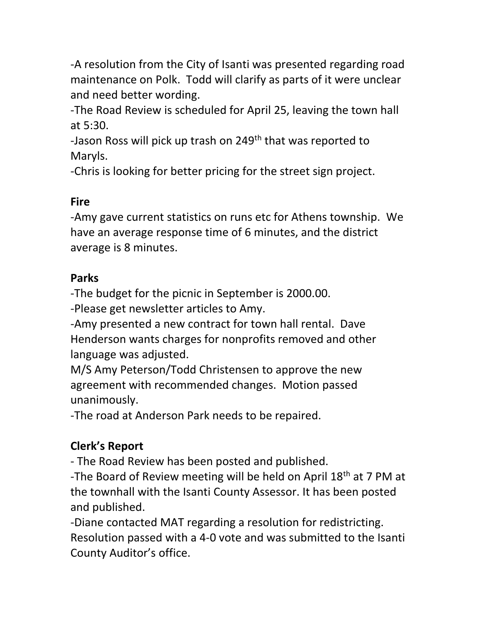-A resolution from the City of Isanti was presented regarding road maintenance on Polk. Todd will clarify as parts of it were unclear and need better wording.

-The Road Review is scheduled for April 25, leaving the town hall at 5:30.

-Jason Ross will pick up trash on 249<sup>th</sup> that was reported to Maryls.

-Chris is looking for better pricing for the street sign project.

## **Fire**

-Amy gave current statistics on runs etc for Athens township. We have an average response time of 6 minutes, and the district average is 8 minutes.

#### **Parks**

-The budget for the picnic in September is 2000.00.

-Please get newsletter articles to Amy.

-Amy presented a new contract for town hall rental. Dave Henderson wants charges for nonprofits removed and other language was adjusted.

M/S Amy Peterson/Todd Christensen to approve the new agreement with recommended changes. Motion passed unanimously.

-The road at Anderson Park needs to be repaired.

# **Clerk's Report**

- The Road Review has been posted and published.

-The Board of Review meeting will be held on April 18<sup>th</sup> at 7 PM at the townhall with the Isanti County Assessor. It has been posted and published.

-Diane contacted MAT regarding a resolution for redistricting. Resolution passed with a 4-0 vote and was submitted to the Isanti County Auditor's office.